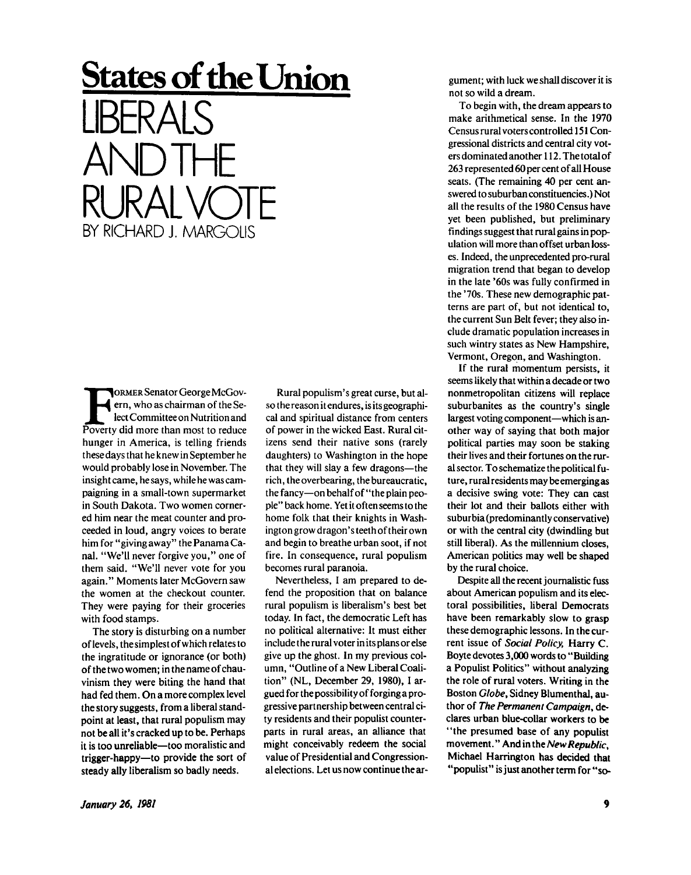## **States of the Union**  LIBERALS AND IHET RURAL VOTE BY RICHARD J. MARGOLIS

FORMER Senator George McGoverty, who as chairman of the Select Committee on Nutrition and Poverty did more than most to reduce ORMER Senator George McGovern, who as chairman of the Select Committee on Nutrition and hunger in America, is telling friends these days that he knew in September he would probably lose in November. The insight came, he says, while he was campaigning in a small-town supermarket in South Dakota. Two women cornered him near the meat counter and proceeded in loud, angry voices to berate him for "giving away" the Panama Canal. "We'll never forgive you," one of them said. "We'll never vote for you again." Moments later McGovern saw the women at the checkout counter. They were paying for their groceries with food stamps.

The story is disturbing on a number of levels, thesimplest of which relates to the ingratitude or ignorance (or both) of the two women; in the name of chauvinism they were biting the hand that had fed them. On a more complex level the story suggests, from a liberal standpoint at least, that rural populism may not be all it's cracked up to be. Perhaps it is too unreliable—too moralistic and trigger-happy—to provide the sort of steady ally liberalism so badly needs.

Rural populism's great curse, but also the reason it endures, is its geographical and spiritual distance from centers of power in the wicked East. Rural citizens send their native sons (rarely daughters) to Washington in the hope that they will slay a few dragons—the rich, the overbearing, the bureaucratic, the fancy—on behalf of "the plain people" back home. Yet it often seems to the home folk that their knights in Washington grow dragon's teeth of their own and begin to breathe urban soot, if not fire. In consequence, rural populism becomes rural paranoia.

Nevertheless, I am prepared to defend the proposition that on balance rural populism is liberalism's best bet today. In fact, the democratic Left has no political alternative: It must either include the rural voter in its plans or else give up the ghost. In my previous column, "Outline of a New Liberal Coalition" (NL, December 29, 1980), 1 argued for the possibility of forging a progressive partnership between central city residents and their populist counterparts in rural areas, an alliance that might conceivably redeem the social value of Presidential and Congressional elections. Let us now continue the argument; with luck we shall discover it is not so wild a dream.

To begin with, the dream appears to make arithmetical sense. In the 1970 Census rural voters controlled 151 Congressional districts and central city voters dominated another 112. The total of 263 represented 60 per cent of all House seats. (The remaining 40 per cent answered to suburban constituencies.) Not all the results of the 1980 Census have yet been published, but preliminary findings suggest that rural gains in population will more than offset urban losses. Indeed, the unprecedented pro-rural migration trend that began to develop in the late '60s was fully confirmed in the '70s. These new demographic patterns are part of, but not identical to, the current Sun Belt fever; they also include dramatic population increases in such wintry states as New Hampshire, Vermont, Oregon, and Washington.

If the rural momentum persists, it seems likely that within a decade or two nonmetropolitan citizens will replace suburbanites as the country's single largest voting component—which is another way of saying that both major political parties may soon be staking their lives and their fortunes on the rural sector. To schematize the political future, rural residents may be emerging as a decisive swing vote: They can cast their lot and their ballots either with suburbia (predominantly conservative) or with the central city (dwindling but still liberal). As the millennium closes, American politics may well be shaped by the rural choice.

Despite all the recent journalistic fuss about American populism and its electoral possibilities, liberal Democrats have been remarkably slow to grasp these demographic lessons. In the current issue of *Social Policy,* Harry C. Boyte devotes 3,000 words to "Building a Populist Politics" without analyzing the role of rural voters. Writing in the Boston *Globe,* Sidney Blumenthal, author of *The Permanent Campaign,* declares urban blue-collar workers to be "the presumed base of any populist movement." And in the *New Republic,*  Michael Harrington has decided that "populist" is just another term for "so